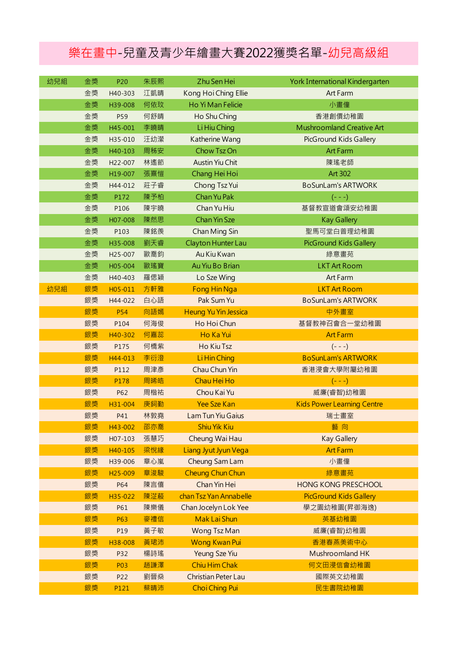## 樂在畫中-兒童及青少年繪畫大賽2022獲獎名單-幼兒高級組

| 幼兒組 | 金獎 | P20                  | 朱辰熙 | Zhu Sen Hei                 | York International Kindergarten   |
|-----|----|----------------------|-----|-----------------------------|-----------------------------------|
|     | 金獎 | H40-303              | 江凱晴 | Kong Hoi Ching Ellie        | Art Farm                          |
|     | 金獎 | H39-008              | 何依玟 | Ho Yi Man Felicie           | 小畫僮                               |
|     | 金獎 | P59                  | 何舒晴 | Ho Shu Ching                | 香港創價幼稚園                           |
|     | 金獎 | H45-001              | 李曉晴 | Li Hiu Ching                | Mushroomland Creative Art         |
|     | 金獎 | H35-010              | 汪幼瀠 | Katherine Wang              | PicGround Kids Gallery            |
|     | 金獎 | H40-103              | 周秭安 | Chow Tsz On                 | <b>Art Farm</b>                   |
|     | 金獎 | H <sub>22</sub> -007 | 林遙節 | <b>Austin Yiu Chit</b>      | 陳瑤老師                              |
|     | 金獎 | H19-007              | 張熹愷 | Chang Hei Hoi               | <b>Art 302</b>                    |
|     | 金獎 | H44-012              | 莊子睿 | Chong Tsz Yui               | <b>BoSunLam's ARTWORK</b>         |
|     | 金獎 | P172                 | 陳予柏 | Chan Yu Pak                 | $(- - -)$                         |
|     | 金獎 | P106                 | 陳宇曉 | Chan Yu Hiu                 | 基督教宣道會頌安幼稚園                       |
|     | 金獎 | H07-008              | 陳然思 | <b>Chan Yin Sze</b>         | <b>Kay Gallery</b>                |
|     | 金獎 | P103                 | 陳銘羨 | Chan Ming Sin               | 聖馬可堂白普理幼稚園                        |
|     | 金獎 | H35-008              | 劉天睿 | Clayton Hunter Lau          | <b>PicGround Kids Gallery</b>     |
|     | 金獎 | H <sub>25</sub> -007 | 歐喬鈞 | Au Kiu Kwan                 | 綠意畫苑                              |
|     | 金獎 | H05-004              | 歐瑤寶 | Au Yiu Bo Brian             | <b>LKT Art Room</b>               |
|     | 金獎 | H40-403              | 羅偲穎 | Lo Sze Wing                 | Art Farm                          |
| 幼兒組 | 銀獎 | H05-011              | 方軒雅 | Fong Hin Nga                | <b>LKT Art Room</b>               |
|     | 銀獎 | H44-022              | 白心語 | Pak Sum Yu                  | <b>BoSunLam's ARTWORK</b>         |
|     | 銀獎 | <b>P54</b>           | 向語嫣 | <b>Heung Yu Yin Jessica</b> | 中外畫室                              |
|     | 銀獎 | P104                 | 何海俊 | Ho Hoi Chun                 | 基督教神召會合一堂幼稚園                      |
|     | 銀獎 | H40-302              | 何嘉蕊 | Ho Ka Yui                   | <b>Art Farm</b>                   |
|     | 銀獎 | P175                 | 何橋紫 | Ho Kiu Tsz                  | $(- - -)$                         |
|     | 銀獎 | H44-013              | 李衍澄 | Li Hin Ching                | <b>BoSunLam's ARTWORK</b>         |
|     | 銀獎 | P112                 | 周津彥 | Chau Chun Yin               | 香港浸會大學附屬幼稚園                       |
|     | 銀獎 | P178                 | 周晞皓 | Chau Hei Ho                 | $(- - -)$                         |
|     | 銀獎 | P62                  | 周楷祐 | Chou Kai Yu                 | 威廉(睿智)幼稚園                         |
|     | 銀獎 | H31-004              | 庚鉰勤 | <b>Yee Sze Kan</b>          | <b>Kids Power Learning Centre</b> |
|     | 銀獎 | P41                  | 林敦堯 | Lam Tun Yiu Gaius           | 瑞士畫室                              |
|     | 銀獎 | H43-002              | 邵亦喬 | <b>Shiu Yik Kiu</b>         | 藝向                                |
|     | 銀獎 | H07-103              | 張慧巧 | Cheung Wai Hau              | <b>Kay Gallery</b>                |
|     | 銀獎 | H40-105              | 梁悅緣 | Liang Jyut Jyun Vega        | <b>Art Farm</b>                   |
|     | 銀獎 | H39-006              | 章心嵐 | Cheung Sam Lam              | 小畫僮                               |
|     | 銀獎 | H <sub>25</sub> -009 | 章浚駿 | <b>Cheung Chun Chun</b>     | 綠意畫苑                              |
|     | 銀獎 | P64                  | 陳言僖 | Chan Yin Hei                | <b>HONG KONG PRESCHOOL</b>        |
|     | 銀獎 | H35-022              | 陳淽蒑 | chan Tsz Yan Annabelle      | <b>PicGround Kids Gallery</b>     |
|     | 銀獎 | P61                  | 陳樂儀 | Chan Jocelyn Lok Yee        | 學之園幼稚園(昇御海逸)                      |
|     | 銀獎 | P63                  | 麥禮信 | Mak Lai Shun                | 英基幼稚園                             |
|     | 銀獎 | P19                  | 黃子敏 | Wong Tsz Man                | 威廉(睿智)幼稚園                         |
|     | 銀獎 | H38-008              | 黃珺沛 | <b>Wong Kwan Pui</b>        | 香港春燕美術中心                          |
|     | 銀獎 | P32                  | 楊詩瑤 | <b>Yeung Sze Yiu</b>        | Mushroomland HK                   |
|     | 銀獎 | <b>P03</b>           | 趙謙澤 | <b>Chiu Him Chak</b>        | 何文田浸信會幼稚園                         |
|     | 銀獎 | P22                  | 劉晉燊 | Christian Peter Lau         | 國際英文幼稚園                           |
|     | 銀獎 | P121                 | 蔡晴沛 | <b>Choi Ching Pui</b>       | 民生書院幼稚園                           |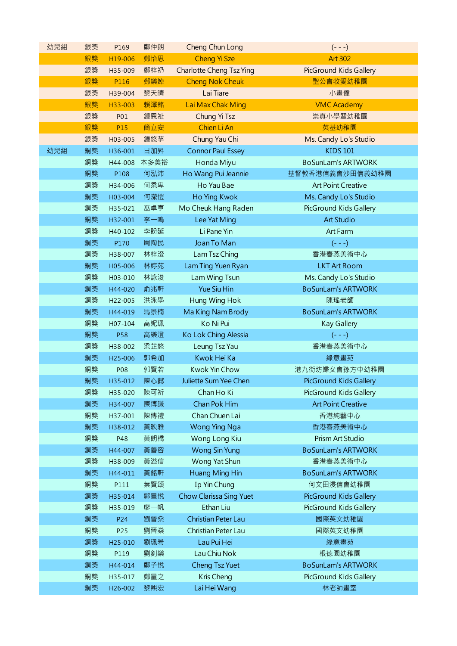| 幼兒組 | 銀獎 | P169                 | 鄭仲朗  | Cheng Chun Long                 | $(- - -)$                     |
|-----|----|----------------------|------|---------------------------------|-------------------------------|
|     | 銀獎 | H19-006              | 鄭怡思  | <b>Cheng Yi Sze</b>             | <b>Art 302</b>                |
|     | 銀獎 | H35-009              | 鄭梓礽  | <b>Charlotte Cheng Tsz Ying</b> | <b>PicGround Kids Gallery</b> |
|     | 銀獎 | P116                 | 鄭樂婥  | <b>Cheng Nok Cheuk</b>          | 聖公會牧愛幼稚園                      |
|     | 銀獎 | H39-004              | 黎天晴  | Lai Tiare                       | 小畫僮                           |
|     | 銀獎 | H33-003              | 賴澤銘  | Lai Max Chak Ming               | <b>VMC Academy</b>            |
|     | 銀獎 | <b>P01</b>           | 鍾恩祉  | Chung Yi Tsz                    | 崇真小學暨幼稚園                      |
|     | 銀獎 | P15                  | 簡立安  | Chien Li An                     | 英基幼稚園                         |
|     | 銀獎 | H03-005              | 鐘悠芓  | Chung Yau Chi                   | Ms. Candy Lo's Studio         |
| 幼兒組 | 銅獎 | H36-001              | 日加昇  | <b>Connor Paul Essey</b>        | <b>KIDS 101</b>               |
|     | 銅獎 | H44-008              | 本多美裕 | Honda Miyu                      | <b>BoSunLam's ARTWORK</b>     |
|     | 銅獎 | P108                 | 何泓沛  | Ho Wang Pui Jeannie             | 基督教香港信義會沙田信義幼稚園               |
|     | 銅獎 | H34-006              | 何柔卑  | Ho Yau Bae                      | <b>Art Point Creative</b>     |
|     | 銅獎 | H03-004              | 何瀠愷  | Ho Ying Kwok                    | Ms. Candy Lo's Studio         |
|     | 銅獎 | H35-021              | 巫卓亨  | Mo Cheuk Hang Raden             | PicGround Kids Gallery        |
|     | 銅獎 | H32-001              | 李一鳴  | Lee Yat Ming                    | <b>Art Studio</b>             |
|     | 銅獎 | H40-102              | 李盼延  | Li Pane Yin                     | Art Farm                      |
|     | 銅獎 | P170                 | 周陶民  | Joan To Man                     | $(- - -)$                     |
|     | 銅獎 | H38-007              | 林梓澄  | Lam Tsz Ching                   | 香港春燕美術中心                      |
|     | 銅獎 | H05-006              | 林婷苑  | Lam Ting Yuen Ryan              | <b>LKT Art Room</b>           |
|     | 銅獎 | H03-010              | 林詠浚  | Lam Wing Tsun                   | Ms. Candy Lo's Studio         |
|     | 銅獎 | H44-020              | 俞兆軒  | <b>Yue Siu Hin</b>              | <b>BoSunLam's ARTWORK</b>     |
|     | 銅獎 | H22-005              | 洪泳學  | Hung Wing Hok                   | 陳瑤老師                          |
|     | 銅獎 | H44-019              | 馬景楠  | Ma King Nam Brody               | <b>BoSunLam's ARTWORK</b>     |
|     | 銅獎 | H07-104              | 高妮珮  | Ko Ni Pui                       | Kay Gallery                   |
|     | 銅獎 | <b>P58</b>           | 高樂澄  | Ko Lok Ching Alessia            | $(- - -)$                     |
|     | 銅獎 | H38-002              | 梁芷悠  | Leung Tsz Yau                   | 香港春燕美術中心                      |
|     | 銅獎 | H <sub>25</sub> -006 | 郭希加  | Kwok Hei Ka                     | 綠意畫苑                          |
|     | 銅獎 | P08                  | 郭賢若  | Kwok Yin Chow                   | 港九街坊婦女會孫方中幼稚園                 |
|     | 銅獎 | H35-012              | 陳心懿  | Juliette Sum Yee Chen           | PicGround Kids Gallery        |
|     | 銅獎 | H35-020              | 陳可祈  | Chan Ho Ki                      | PicGround Kids Gallery        |
|     | 銅獎 | H34-007              | 陳博謙  | Chan Pok Him                    | <b>Art Point Creative</b>     |
|     | 銅獎 | H37-001              | 陳傳禮  | Chan Chuen Lai                  | 香港純藝中心                        |
|     | 銅獎 | H38-012              | 黃映雅  | <b>Wong Ying Nga</b>            | 香港春燕美術中心                      |
|     | 銅獎 | P48                  | 黃朗橋  | Wong Long Kiu                   | Prism Art Studio              |
|     | 銅獎 | H44-007              | 黃善容  | <b>Wong Sin Yung</b>            | <b>BoSunLam's ARTWORK</b>     |
|     | 銅獎 | H38-009              | 黃溢信  | Wong Yat Shun                   | 香港春燕美術中心                      |
|     | 銅獎 | H44-011              | 黃銘軒  | Huang Ming Hin                  | <b>BoSunLam's ARTWORK</b>     |
|     | 銅獎 | P111                 | 葉賢頌  | Ip Yin Chung                    | 何文田浸信會幼稚園                     |
|     | 銅獎 | H35-014              | 鄒星悅  | Chow Clarissa Sing Yuet         | PicGround Kids Gallery        |
|     | 銅獎 | H35-019              | 廖一帆  | Ethan Liu                       | PicGround Kids Gallery        |
|     | 銅獎 | P24                  | 劉晉燊  | Christian Peter Lau             | 國際英文幼稚園                       |
|     | 銅獎 | P25                  | 劉晉燊  | Christian Peter Lau             | 國際英文幼稚園                       |
|     | 銅獎 | H25-010              | 劉珮希  | Lau Pui Hei                     | 綠意畫苑                          |
|     | 銅獎 | P119                 | 劉釗樂  | Lau Chiu Nok                    | 根德園幼稚園                        |
|     | 銅獎 | H44-014              | 鄭子悅  | Cheng Tsz Yuet                  | <b>BoSunLam's ARTWORK</b>     |
|     | 銅獎 | H35-017              | 鄭量之  | Kris Cheng                      | PicGround Kids Gallery        |
|     | 銅獎 | H26-002              | 黎熙宏  | Lai Hei Wang                    | 林老師畫室                         |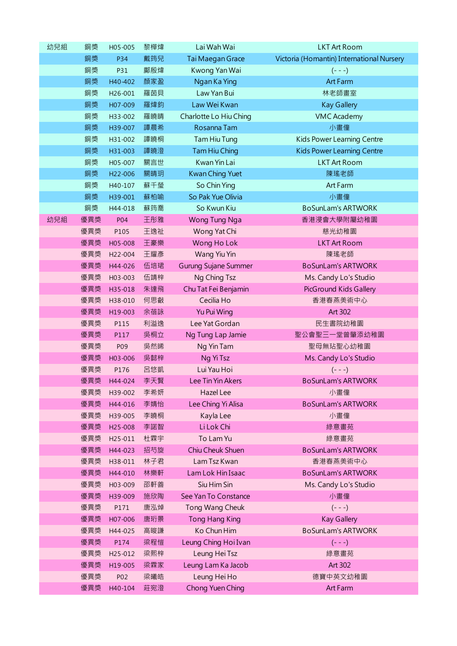| 幼兒組 | 銅獎  | H05-005 | 黎樺煒 | Lai Wah Wai                 | <b>LKT Art Room</b>                       |
|-----|-----|---------|-----|-----------------------------|-------------------------------------------|
|     | 銅獎  | P34     | 戴筠兒 | Tai Maegan Grace            | Victoria (Homantin) International Nursery |
|     | 銅獎  | P31     | 鄺殷煒 | Kwong Yan Wai               | $(- - -)$                                 |
|     | 銅獎  | H40-402 | 顏家盈 | Ngan Ka Ying                | Art Farm                                  |
|     | 銅獎  | H26-001 | 羅茵貝 | Law Yan Bui                 | 林老師畫室                                     |
|     | 銅獎  | H07-009 | 羅煒鈞 | Law Wei Kwan                | <b>Kay Gallery</b>                        |
|     | 銅獎  | H33-002 | 羅曉晴 | Charlotte Lo Hiu Ching      | <b>VMC Academy</b>                        |
|     | 銅獎  | H39-007 | 譚晨希 | Rosanna Tam                 | 小畫僮                                       |
|     | 銅獎  | H31-002 | 譚曉桐 | Tam Hiu Tung                | Kids Power Learning Centre                |
|     | 銅獎  | H31-003 | 譚曉澄 | Tam Hiu Ching               | <b>Kids Power Learning Centre</b>         |
|     | 銅獎  | H05-007 | 關言世 | Kwan Yin Lai                | <b>LKT Art Room</b>                       |
|     | 銅獎  | H22-006 | 關晴玥 | Kwan Ching Yuet             | 陳瑤老師                                      |
|     | 銅獎  | H40-107 | 蘇千瑩 | So Chin Ying                | Art Farm                                  |
|     | 銅獎  | H39-001 | 蘇柏喻 | So Pak Yue Olivia           | 小畫僮                                       |
|     | 銅獎  | H44-018 | 蘇筠喬 | So Kwun Kiu                 | <b>BoSunLam's ARTWORK</b>                 |
| 幼兒組 | 優異獎 | P04     | 王彤雅 | Wong Tung Nga               | 香港浸會大學附屬幼稚園                               |
|     | 優異獎 | P105    | 王逸祉 | Wong Yat Chi                | 慈光幼稚園                                     |
|     | 優異獎 | H05-008 | 王豪樂 | Wong Ho Lok                 | <b>LKT Art Room</b>                       |
|     | 優異獎 | H22-004 | 王耀彥 | Wang Yiu Yin                | 陳瑤老師                                      |
|     | 優異獎 | H44-026 | 伍培珺 | <b>Gurung Sujane Summer</b> | <b>BoSunLam's ARTWORK</b>                 |
|     | 優異獎 | H03-003 | 伍靖梓 | Ng Ching Tsz                | Ms. Candy Lo's Studio                     |
|     | 優異獎 | H35-018 | 朱達飛 | Chu Tat Fei Benjamin        | PicGround Kids Gallery                    |
|     | 優異獎 | H38-010 | 何思叡 | Cecilia Ho                  | 香港春燕美術中心                                  |
|     | 優異獎 | H19-003 | 余蓓詠 | Yu Pui Wing                 | Art 302                                   |
|     | 優異獎 | P115    | 利溢逸 | Lee Yat Gordan              | 民生書院幼稚園                                   |
|     | 優異獎 | P117    | 吳桐立 | Ng Tung Lap Jamie           | 聖公會聖三一堂曾肇添幼稚園                             |
|     | 優異獎 | P09     | 吳然晞 | Ng Yin Tam                  | 聖母無玷聖心幼稚園                                 |
|     | 優異獎 | H03-006 | 吳懿梓 | Ng Yi Tsz                   | Ms. Candy Lo's Studio                     |
|     | 優異獎 | P176    | 呂悠凱 | Lui Yau Hoi                 | $(- - -)$                                 |
|     | 優異獎 | H44-024 | 李天賢 | Lee Tin Yin Akers           | <b>BoSunLam's ARTWORK</b>                 |
|     | 優異獎 | H39-002 | 李希妍 | Hazel Lee                   | 小畫僮                                       |
|     | 優異獎 | H44-016 | 李婧怡 | Lee Ching Yi Alisa          | <b>BoSunLam's ARTWORK</b>                 |
|     | 優異獎 | H39-005 | 李曉桐 | Kayla Lee                   | 小畫僮                                       |
|     | 優異獎 | H25-008 | 李諾智 | Li Lok Chi                  | 綠意畫苑                                      |
|     | 優異獎 | H25-011 | 杜霖宇 | To Lam Yu                   | 綠意畫苑                                      |
|     | 優異獎 | H44-023 | 招芍旋 | Chiu Cheuk Shuen            | <b>BoSunLam's ARTWORK</b>                 |
|     | 優異獎 | H38-011 | 林子君 | Lam Tsz Kwan                | 香港春燕美術中心                                  |
|     | 優異獎 | H44-010 | 林樂軒 | Lam Lok Hin Isaac           | <b>BoSunLam's ARTWORK</b>                 |
|     | 優異獎 | H03-009 | 邵軒善 | Siu Him Sin                 | Ms. Candy Lo's Studio                     |
|     | 優異獎 | H39-009 | 施欣陶 | See Yan To Constance        | 小畫僮                                       |
|     | 優異獎 | P171    | 唐泓焯 | Tong Wang Cheuk             | $(- - -)$                                 |
|     | 優異獎 | H07-006 | 唐珩景 | <b>Tong Hang King</b>       | <b>Kay Gallery</b>                        |
|     | 優異獎 | H44-025 | 高晙謙 | Ko Chun Him                 | <b>BoSunLam's ARTWORK</b>                 |
|     | 優異獎 | P174    | 梁程愷 | Leung Ching Hoi Ivan        | $(- - -)$                                 |
|     | 優異獎 | H25-012 | 梁熙梓 | Leung Hei Tsz               | 綠意畫苑                                      |
|     | 優異獎 | H19-005 | 梁霖家 | Leung Lam Ka Jacob          | Art 302                                   |
|     | 優異獎 | P02     | 梁曦皓 | Leung Hei Ho                | 德寶中英文幼稚園                                  |
|     | 優異獎 | H40-104 | 莊宛澄 | Chong Yuen Ching            | Art Farm                                  |